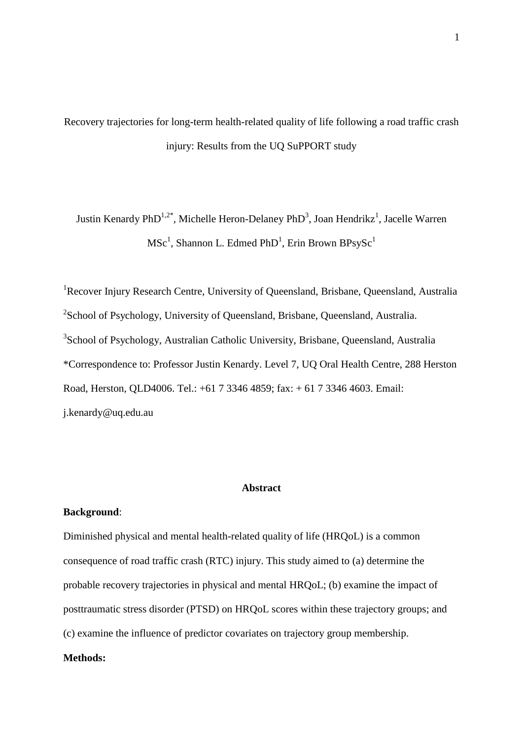Recovery trajectories for long-term health-related quality of life following a road traffic crash injury: Results from the UQ SuPPORT study

Justin Kenardy PhD<sup>1,2\*</sup>, Michelle Heron-Delaney PhD<sup>3</sup>, Joan Hendrikz<sup>1</sup>, Jacelle Warren  ${\rm MSc}^1,$  Shannon L. Edmed PhD<sup>1</sup>, Erin Brown BPsySc<sup>1</sup>

<sup>1</sup>Recover Injury Research Centre, University of Queensland, Brisbane, Queensland, Australia <sup>2</sup>School of Psychology, University of Queensland, Brisbane, Queensland, Australia. <sup>3</sup>School of Psychology, Australian Catholic University, Brisbane, Queensland, Australia \*Correspondence to: Professor Justin Kenardy. Level 7, UQ Oral Health Centre, 288 Herston Road, Herston, QLD4006. Tel.: +61 7 3346 4859; fax: + 61 7 3346 4603. Email: j.kenardy@uq.edu.au

### **Abstract**

# **Background**:

Diminished physical and mental health-related quality of life (HRQoL) is a common consequence of road traffic crash (RTC) injury. This study aimed to (a) determine the probable recovery trajectories in physical and mental HRQoL; (b) examine the impact of posttraumatic stress disorder (PTSD) on HRQoL scores within these trajectory groups; and (c) examine the influence of predictor covariates on trajectory group membership.

# **Methods:**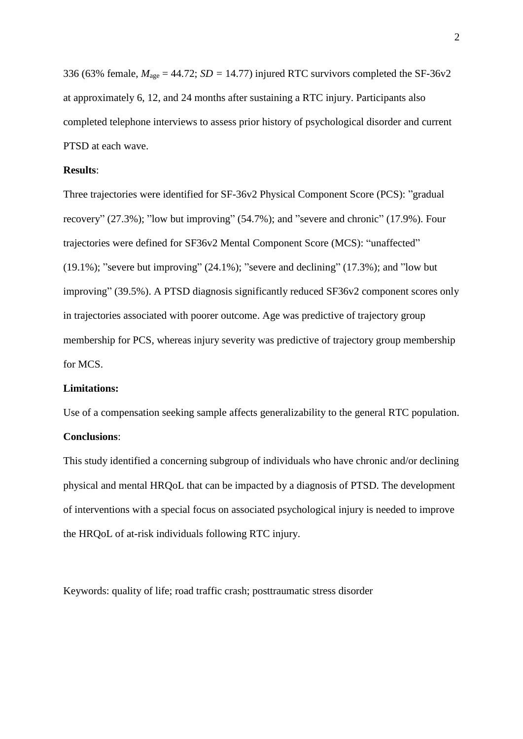336 (63% female,  $M_{\text{age}} = 44.72$ ; *SD* = 14.77) injured RTC survivors completed the SF-36v2 at approximately 6, 12, and 24 months after sustaining a RTC injury. Participants also completed telephone interviews to assess prior history of psychological disorder and current PTSD at each wave.

# **Results**:

Three trajectories were identified for SF-36v2 Physical Component Score (PCS): "gradual recovery" (27.3%); "low but improving" (54.7%); and "severe and chronic" (17.9%). Four trajectories were defined for SF36v2 Mental Component Score (MCS): "unaffected"  $(19.1\%)$ ; "severe but improving"  $(24.1\%)$ ; "severe and declining"  $(17.3\%)$ ; and "low but improving" (39.5%). A PTSD diagnosis significantly reduced SF36v2 component scores only in trajectories associated with poorer outcome. Age was predictive of trajectory group membership for PCS, whereas injury severity was predictive of trajectory group membership for MCS.

# **Limitations:**

Use of a compensation seeking sample affects generalizability to the general RTC population.

# **Conclusions**:

This study identified a concerning subgroup of individuals who have chronic and/or declining physical and mental HRQoL that can be impacted by a diagnosis of PTSD. The development of interventions with a special focus on associated psychological injury is needed to improve the HRQoL of at-risk individuals following RTC injury.

Keywords: quality of life; road traffic crash; posttraumatic stress disorder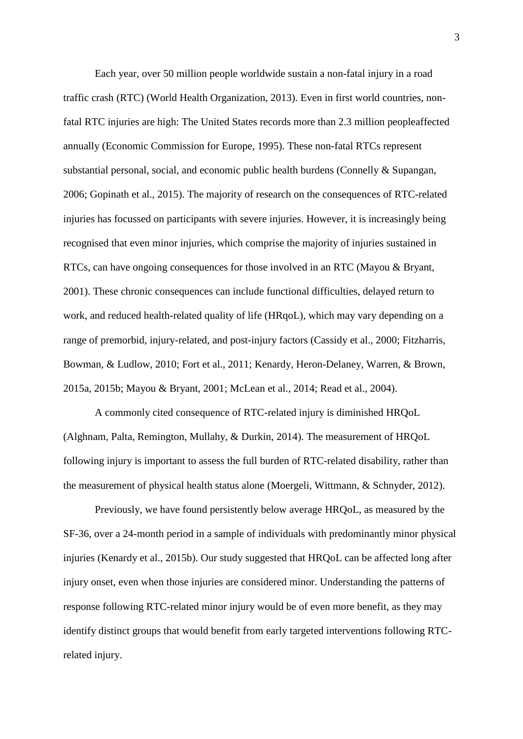Each year, over 50 million people worldwide sustain a non-fatal injury in a road traffic crash (RTC) (World Health Organization, 2013). Even in first world countries, nonfatal RTC injuries are high: The United States records more than 2.3 million peopleaffected annually (Economic Commission for Europe, 1995). These non-fatal RTCs represent substantial personal, social, and economic public health burdens (Connelly & Supangan, 2006; Gopinath et al., 2015). The majority of research on the consequences of RTC-related injuries has focussed on participants with severe injuries. However, it is increasingly being recognised that even minor injuries, which comprise the majority of injuries sustained in RTCs, can have ongoing consequences for those involved in an RTC (Mayou & Bryant, 2001). These chronic consequences can include functional difficulties, delayed return to work, and reduced health-related quality of life (HRqoL), which may vary depending on a range of premorbid, injury-related, and post-injury factors (Cassidy et al., 2000; Fitzharris, Bowman, & Ludlow, 2010; Fort et al., 2011; Kenardy, Heron-Delaney, Warren, & Brown, 2015a, 2015b; Mayou & Bryant, 2001; McLean et al., 2014; Read et al., 2004).

A commonly cited consequence of RTC-related injury is diminished HRQoL (Alghnam, Palta, Remington, Mullahy, & Durkin, 2014). The measurement of HRQoL following injury is important to assess the full burden of RTC-related disability, rather than the measurement of physical health status alone (Moergeli, Wittmann, & Schnyder, 2012).

Previously, we have found persistently below average HRQoL, as measured by the SF-36, over a 24-month period in a sample of individuals with predominantly minor physical injuries (Kenardy et al., 2015b). Our study suggested that HRQoL can be affected long after injury onset, even when those injuries are considered minor. Understanding the patterns of response following RTC-related minor injury would be of even more benefit, as they may identify distinct groups that would benefit from early targeted interventions following RTCrelated injury.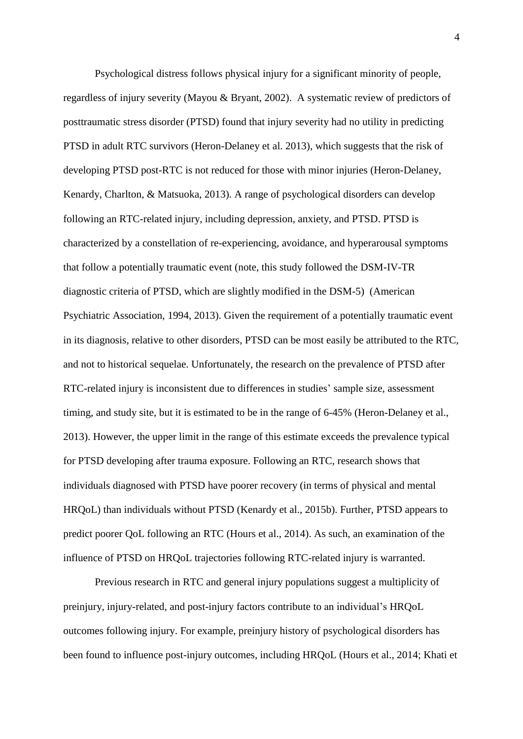Psychological distress follows physical injury for a significant minority of people, regardless of injury severity (Mayou & Bryant, 2002). A systematic review of predictors of posttraumatic stress disorder (PTSD) found that injury severity had no utility in predicting PTSD in adult RTC survivors (Heron-Delaney et al. 2013), which suggests that the risk of developing PTSD post-RTC is not reduced for those with minor injuries (Heron-Delaney, Kenardy, Charlton, & Matsuoka, 2013). A range of psychological disorders can develop following an RTC-related injury, including depression, anxiety, and PTSD. PTSD is characterized by a constellation of re-experiencing, avoidance, and hyperarousal symptoms that follow a potentially traumatic event (note, this study followed the DSM-IV-TR diagnostic criteria of PTSD, which are slightly modified in the DSM-5) (American Psychiatric Association, 1994, 2013). Given the requirement of a potentially traumatic event in its diagnosis, relative to other disorders, PTSD can be most easily be attributed to the RTC, and not to historical sequelae. Unfortunately, the research on the prevalence of PTSD after RTC-related injury is inconsistent due to differences in studies' sample size, assessment timing, and study site, but it is estimated to be in the range of 6-45% (Heron-Delaney et al., 2013). However, the upper limit in the range of this estimate exceeds the prevalence typical for PTSD developing after trauma exposure. Following an RTC, research shows that individuals diagnosed with PTSD have poorer recovery (in terms of physical and mental HRQoL) than individuals without PTSD (Kenardy et al., 2015b). Further, PTSD appears to predict poorer QoL following an RTC (Hours et al., 2014). As such, an examination of the influence of PTSD on HRQoL trajectories following RTC-related injury is warranted.

Previous research in RTC and general injury populations suggest a multiplicity of preinjury, injury-related, and post-injury factors contribute to an individual's HRQoL outcomes following injury. For example, preinjury history of psychological disorders has been found to influence post-injury outcomes, including HRQoL (Hours et al., 2014; Khati et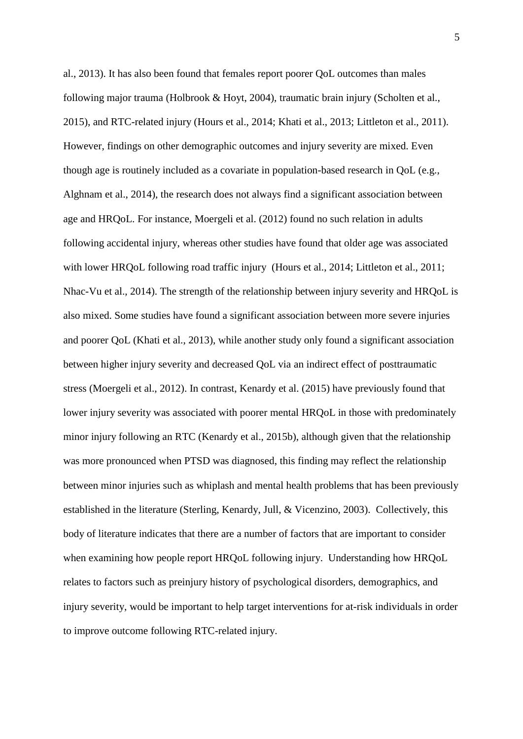al., 2013). It has also been found that females report poorer QoL outcomes than males following major trauma (Holbrook & Hoyt, 2004), traumatic brain injury (Scholten et al., 2015), and RTC-related injury (Hours et al., 2014; Khati et al., 2013; Littleton et al., 2011). However, findings on other demographic outcomes and injury severity are mixed. Even though age is routinely included as a covariate in population-based research in QoL (e.g., Alghnam et al., 2014), the research does not always find a significant association between age and HRQoL. For instance, Moergeli et al. (2012) found no such relation in adults following accidental injury, whereas other studies have found that older age was associated with lower HRQoL following road traffic injury (Hours et al., 2014; Littleton et al., 2011; Nhac-Vu et al., 2014). The strength of the relationship between injury severity and HRQoL is also mixed. Some studies have found a significant association between more severe injuries and poorer QoL (Khati et al., 2013), while another study only found a significant association between higher injury severity and decreased QoL via an indirect effect of posttraumatic stress (Moergeli et al., 2012). In contrast, Kenardy et al. (2015) have previously found that lower injury severity was associated with poorer mental HRQoL in those with predominately minor injury following an RTC (Kenardy et al., 2015b), although given that the relationship was more pronounced when PTSD was diagnosed, this finding may reflect the relationship between minor injuries such as whiplash and mental health problems that has been previously established in the literature (Sterling, Kenardy, Jull, & Vicenzino, 2003). Collectively, this body of literature indicates that there are a number of factors that are important to consider when examining how people report HRQoL following injury. Understanding how HRQoL relates to factors such as preinjury history of psychological disorders, demographics, and injury severity, would be important to help target interventions for at-risk individuals in order to improve outcome following RTC-related injury.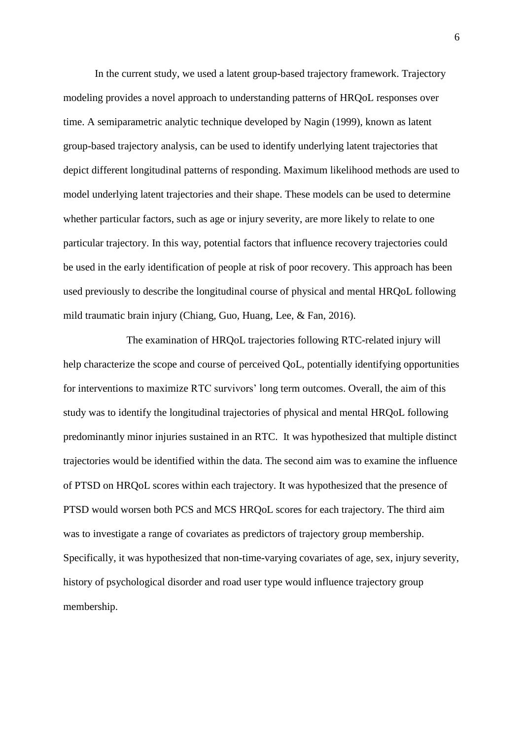In the current study, we used a latent group-based trajectory framework. Trajectory modeling provides a novel approach to understanding patterns of HRQoL responses over time. A semiparametric analytic technique developed by Nagin (1999), known as latent group-based trajectory analysis, can be used to identify underlying latent trajectories that depict different longitudinal patterns of responding. Maximum likelihood methods are used to model underlying latent trajectories and their shape. These models can be used to determine whether particular factors, such as age or injury severity, are more likely to relate to one particular trajectory. In this way, potential factors that influence recovery trajectories could be used in the early identification of people at risk of poor recovery. This approach has been used previously to describe the longitudinal course of physical and mental HRQoL following mild traumatic brain injury (Chiang, Guo, Huang, Lee, & Fan, 2016).

The examination of HRQoL trajectories following RTC-related injury will help characterize the scope and course of perceived QoL, potentially identifying opportunities for interventions to maximize RTC survivors' long term outcomes. Overall, the aim of this study was to identify the longitudinal trajectories of physical and mental HRQoL following predominantly minor injuries sustained in an RTC. It was hypothesized that multiple distinct trajectories would be identified within the data. The second aim was to examine the influence of PTSD on HRQoL scores within each trajectory. It was hypothesized that the presence of PTSD would worsen both PCS and MCS HRQoL scores for each trajectory. The third aim was to investigate a range of covariates as predictors of trajectory group membership. Specifically, it was hypothesized that non-time-varying covariates of age, sex, injury severity, history of psychological disorder and road user type would influence trajectory group membership.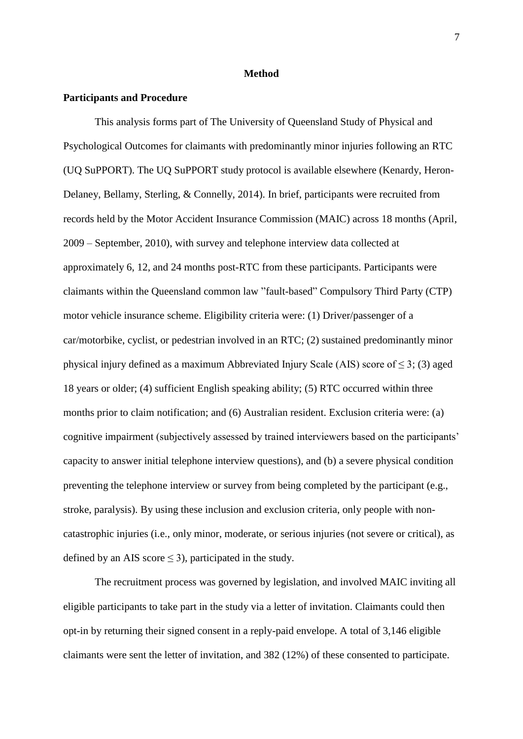#### **Method**

#### **Participants and Procedure**

This analysis forms part of The University of Queensland Study of Physical and Psychological Outcomes for claimants with predominantly minor injuries following an RTC (UQ SuPPORT). The UQ SuPPORT study protocol is available elsewhere (Kenardy, Heron-Delaney, Bellamy, Sterling, & Connelly, 2014). In brief, participants were recruited from records held by the Motor Accident Insurance Commission (MAIC) across 18 months (April, 2009 – September, 2010), with survey and telephone interview data collected at approximately 6, 12, and 24 months post-RTC from these participants. Participants were claimants within the Queensland common law "fault-based" Compulsory Third Party (CTP) motor vehicle insurance scheme. Eligibility criteria were: (1) Driver/passenger of a car/motorbike, cyclist, or pedestrian involved in an RTC; (2) sustained predominantly minor physical injury defined as a maximum Abbreviated Injury Scale (AIS) score of  $\leq$  3; (3) aged 18 years or older; (4) sufficient English speaking ability; (5) RTC occurred within three months prior to claim notification; and (6) Australian resident. Exclusion criteria were: (a) cognitive impairment (subjectively assessed by trained interviewers based on the participants' capacity to answer initial telephone interview questions), and (b) a severe physical condition preventing the telephone interview or survey from being completed by the participant (e.g., stroke, paralysis). By using these inclusion and exclusion criteria, only people with noncatastrophic injuries (i.e., only minor, moderate, or serious injuries (not severe or critical), as defined by an AIS score  $\leq$  3), participated in the study.

The recruitment process was governed by legislation, and involved MAIC inviting all eligible participants to take part in the study via a letter of invitation. Claimants could then opt-in by returning their signed consent in a reply-paid envelope. A total of 3,146 eligible claimants were sent the letter of invitation, and 382 (12%) of these consented to participate.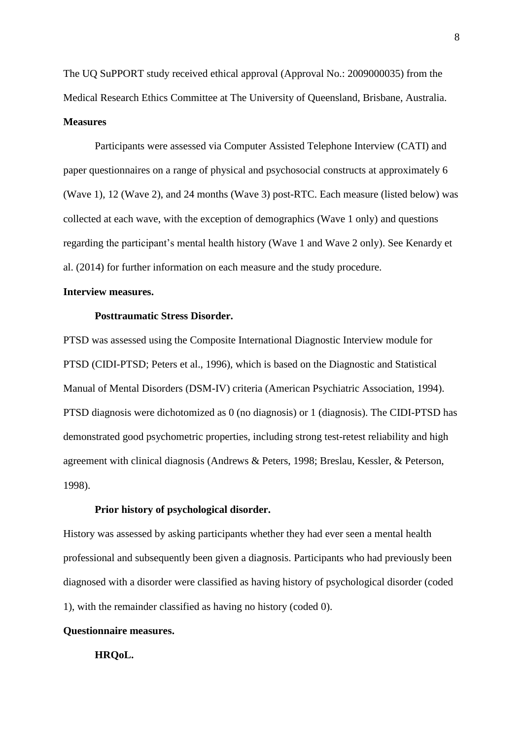The UQ SuPPORT study received ethical approval (Approval No.: 2009000035) from the Medical Research Ethics Committee at The University of Queensland, Brisbane, Australia. **Measures** 

Participants were assessed via Computer Assisted Telephone Interview (CATI) and paper questionnaires on a range of physical and psychosocial constructs at approximately 6 (Wave 1), 12 (Wave 2), and 24 months (Wave 3) post-RTC. Each measure (listed below) was collected at each wave, with the exception of demographics (Wave 1 only) and questions regarding the participant's mental health history (Wave 1 and Wave 2 only). See Kenardy et al. (2014) for further information on each measure and the study procedure.

### **Interview measures.**

#### **Posttraumatic Stress Disorder.**

PTSD was assessed using the Composite International Diagnostic Interview module for PTSD (CIDI-PTSD; Peters et al., 1996), which is based on the Diagnostic and Statistical Manual of Mental Disorders (DSM-IV) criteria (American Psychiatric Association, 1994). PTSD diagnosis were dichotomized as 0 (no diagnosis) or 1 (diagnosis). The CIDI-PTSD has demonstrated good psychometric properties, including strong test-retest reliability and high agreement with clinical diagnosis (Andrews & Peters, 1998; Breslau, Kessler, & Peterson, 1998).

# **Prior history of psychological disorder.**

History was assessed by asking participants whether they had ever seen a mental health professional and subsequently been given a diagnosis. Participants who had previously been diagnosed with a disorder were classified as having history of psychological disorder (coded 1), with the remainder classified as having no history (coded 0).

# **Questionnaire measures.**

### **HRQoL.**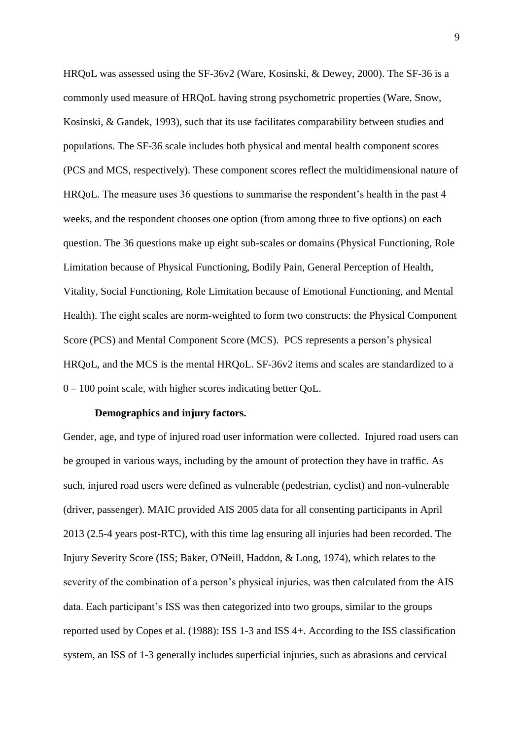HRQoL was assessed using the SF-36v2 (Ware, Kosinski, & Dewey, 2000). The SF-36 is a commonly used measure of HRQoL having strong psychometric properties (Ware, Snow, Kosinski, & Gandek, 1993), such that its use facilitates comparability between studies and populations. The SF-36 scale includes both physical and mental health component scores (PCS and MCS, respectively). These component scores reflect the multidimensional nature of HRQoL. The measure uses 36 questions to summarise the respondent's health in the past 4 weeks, and the respondent chooses one option (from among three to five options) on each question. The 36 questions make up eight sub-scales or domains (Physical Functioning, Role Limitation because of Physical Functioning, Bodily Pain, General Perception of Health, Vitality, Social Functioning, Role Limitation because of Emotional Functioning, and Mental Health). The eight scales are norm-weighted to form two constructs: the Physical Component Score (PCS) and Mental Component Score (MCS). PCS represents a person's physical HRQoL, and the MCS is the mental HRQoL. SF-36v2 items and scales are standardized to a 0 – 100 point scale, with higher scores indicating better QoL.

#### **Demographics and injury factors.**

Gender, age, and type of injured road user information were collected. Injured road users can be grouped in various ways, including by the amount of protection they have in traffic. As such, injured road users were defined as vulnerable (pedestrian, cyclist) and non-vulnerable (driver, passenger). MAIC provided AIS 2005 data for all consenting participants in April 2013 (2.5-4 years post-RTC), with this time lag ensuring all injuries had been recorded. The Injury Severity Score (ISS; Baker, O'Neill, Haddon, & Long, 1974), which relates to the severity of the combination of a person's physical injuries, was then calculated from the AIS data. Each participant's ISS was then categorized into two groups, similar to the groups reported used by Copes et al. (1988): ISS 1-3 and ISS 4+. According to the ISS classification system, an ISS of 1-3 generally includes superficial injuries, such as abrasions and cervical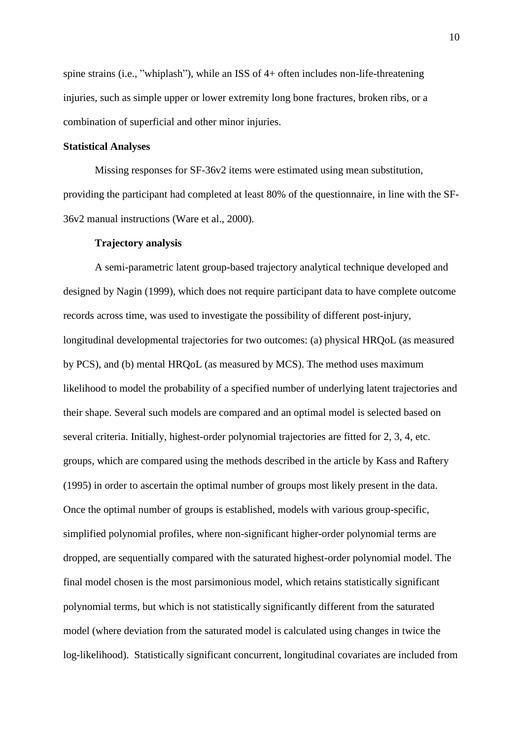spine strains (i.e., "whiplash"), while an ISS of 4+ often includes non-life-threatening injuries, such as simple upper or lower extremity long bone fractures, broken ribs, or a combination of superficial and other minor injuries.

## **Statistical Analyses**

Missing responses for SF-36v2 items were estimated using mean substitution, providing the participant had completed at least 80% of the questionnaire, in line with the SF-36v2 manual instructions (Ware et al., 2000).

#### **Trajectory analysis**

A semi-parametric latent group-based trajectory analytical technique developed and designed by Nagin (1999), which does not require participant data to have complete outcome records across time, was used to investigate the possibility of different post-injury, longitudinal developmental trajectories for two outcomes: (a) physical HRQoL (as measured by PCS), and (b) mental HRQoL (as measured by MCS). The method uses maximum likelihood to model the probability of a specified number of underlying latent trajectories and their shape. Several such models are compared and an optimal model is selected based on several criteria. Initially, highest-order polynomial trajectories are fitted for 2, 3, 4, etc. groups, which are compared using the methods described in the article by Kass and Raftery (1995) in order to ascertain the optimal number of groups most likely present in the data. Once the optimal number of groups is established, models with various group-specific, simplified polynomial profiles, where non-significant higher-order polynomial terms are dropped, are sequentially compared with the saturated highest-order polynomial model. The final model chosen is the most parsimonious model, which retains statistically significant polynomial terms, but which is not statistically significantly different from the saturated model (where deviation from the saturated model is calculated using changes in twice the log-likelihood). Statistically significant concurrent, longitudinal covariates are included from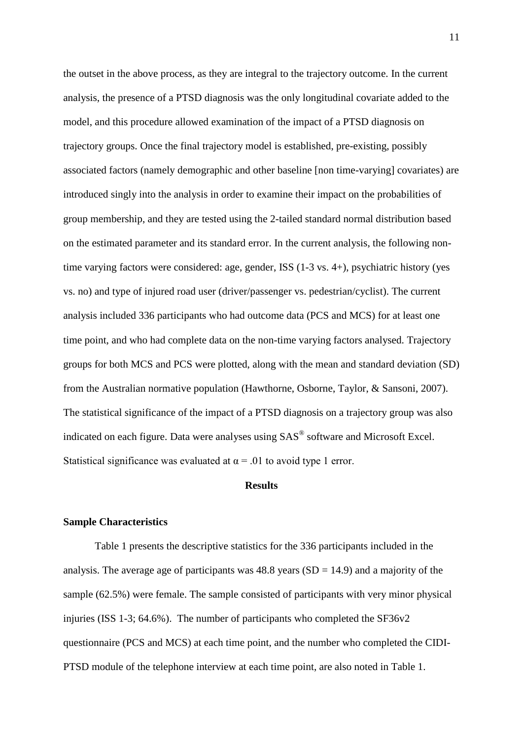the outset in the above process, as they are integral to the trajectory outcome. In the current analysis, the presence of a PTSD diagnosis was the only longitudinal covariate added to the model, and this procedure allowed examination of the impact of a PTSD diagnosis on trajectory groups. Once the final trajectory model is established, pre-existing, possibly associated factors (namely demographic and other baseline [non time-varying] covariates) are introduced singly into the analysis in order to examine their impact on the probabilities of group membership, and they are tested using the 2-tailed standard normal distribution based on the estimated parameter and its standard error. In the current analysis, the following nontime varying factors were considered: age, gender, ISS (1-3 vs. 4+), psychiatric history (yes vs. no) and type of injured road user (driver/passenger vs. pedestrian/cyclist). The current analysis included 336 participants who had outcome data (PCS and MCS) for at least one time point, and who had complete data on the non-time varying factors analysed. Trajectory groups for both MCS and PCS were plotted, along with the mean and standard deviation (SD) from the Australian normative population (Hawthorne, Osborne, Taylor, & Sansoni, 2007). The statistical significance of the impact of a PTSD diagnosis on a trajectory group was also indicated on each figure. Data were analyses using SAS® software and Microsoft Excel. Statistical significance was evaluated at  $\alpha = .01$  to avoid type 1 error.

#### **Results**

#### **Sample Characteristics**

Table 1 presents the descriptive statistics for the 336 participants included in the analysis. The average age of participants was  $48.8$  years  $(SD = 14.9)$  and a majority of the sample (62.5%) were female. The sample consisted of participants with very minor physical injuries (ISS 1-3; 64.6%). The number of participants who completed the SF36v2 questionnaire (PCS and MCS) at each time point, and the number who completed the CIDI-PTSD module of the telephone interview at each time point, are also noted in Table 1.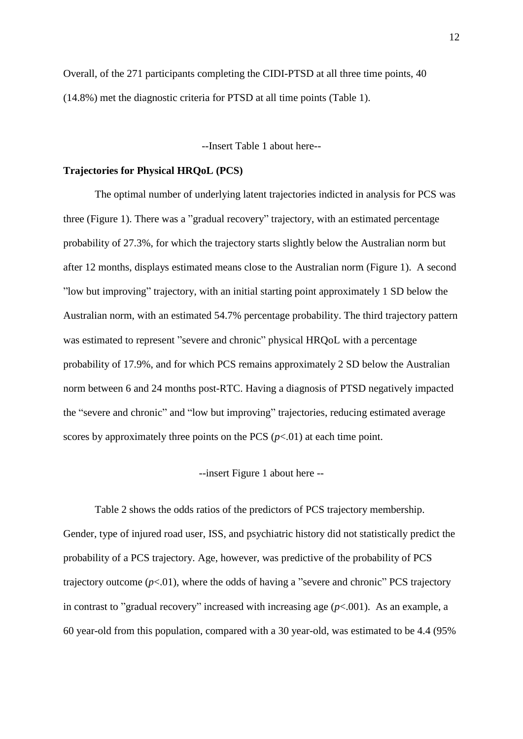Overall, of the 271 participants completing the CIDI-PTSD at all three time points, 40 (14.8%) met the diagnostic criteria for PTSD at all time points (Table 1).

--Insert Table 1 about here--

# **Trajectories for Physical HRQoL (PCS)**

The optimal number of underlying latent trajectories indicted in analysis for PCS was three (Figure 1). There was a "gradual recovery" trajectory, with an estimated percentage probability of 27.3%, for which the trajectory starts slightly below the Australian norm but after 12 months, displays estimated means close to the Australian norm (Figure 1). A second "low but improving" trajectory, with an initial starting point approximately 1 SD below the Australian norm, with an estimated 54.7% percentage probability. The third trajectory pattern was estimated to represent "severe and chronic" physical HRQoL with a percentage probability of 17.9%, and for which PCS remains approximately 2 SD below the Australian norm between 6 and 24 months post-RTC. Having a diagnosis of PTSD negatively impacted the "severe and chronic" and "low but improving" trajectories, reducing estimated average scores by approximately three points on the PCS  $(p<.01)$  at each time point.

--insert Figure 1 about here --

Table 2 shows the odds ratios of the predictors of PCS trajectory membership. Gender, type of injured road user, ISS, and psychiatric history did not statistically predict the probability of a PCS trajectory. Age, however, was predictive of the probability of PCS trajectory outcome  $(p<0.01)$ , where the odds of having a "severe and chronic" PCS trajectory in contrast to "gradual recovery" increased with increasing age  $(p<.001)$ . As an example, a 60 year-old from this population, compared with a 30 year-old, was estimated to be 4.4 (95%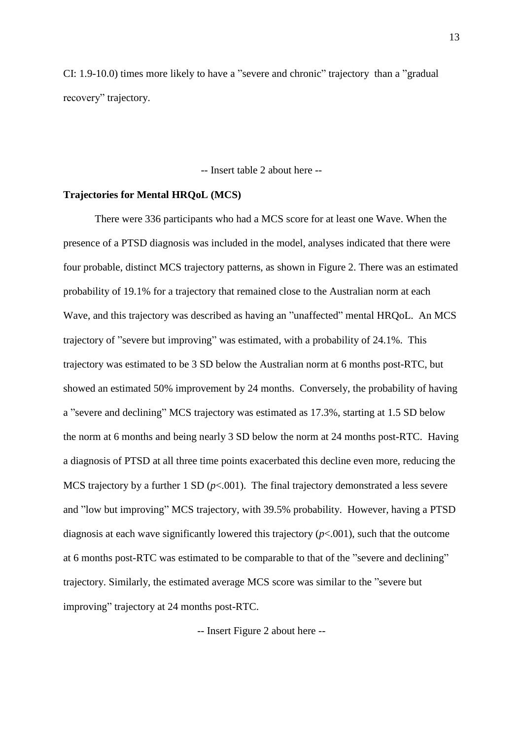CI: 1.9-10.0) times more likely to have a "severe and chronic" trajectory than a "gradual recovery" trajectory.

-- Insert table 2 about here --

#### **Trajectories for Mental HRQoL (MCS)**

There were 336 participants who had a MCS score for at least one Wave. When the presence of a PTSD diagnosis was included in the model, analyses indicated that there were four probable, distinct MCS trajectory patterns, as shown in Figure 2. There was an estimated probability of 19.1% for a trajectory that remained close to the Australian norm at each Wave, and this trajectory was described as having an "unaffected" mental HRQoL. An MCS trajectory of "severe but improving" was estimated, with a probability of 24.1%. This trajectory was estimated to be 3 SD below the Australian norm at 6 months post-RTC, but showed an estimated 50% improvement by 24 months. Conversely, the probability of having a "severe and declining" MCS trajectory was estimated as 17.3%, starting at 1.5 SD below the norm at 6 months and being nearly 3 SD below the norm at 24 months post-RTC. Having a diagnosis of PTSD at all three time points exacerbated this decline even more, reducing the MCS trajectory by a further  $1 SD (p<0.001)$ . The final trajectory demonstrated a less severe and "low but improving" MCS trajectory, with 39.5% probability. However, having a PTSD diagnosis at each wave significantly lowered this trajectory (*p*<.001), such that the outcome at 6 months post-RTC was estimated to be comparable to that of the "severe and declining" trajectory. Similarly, the estimated average MCS score was similar to the "severe but improving" trajectory at 24 months post-RTC.

-- Insert Figure 2 about here --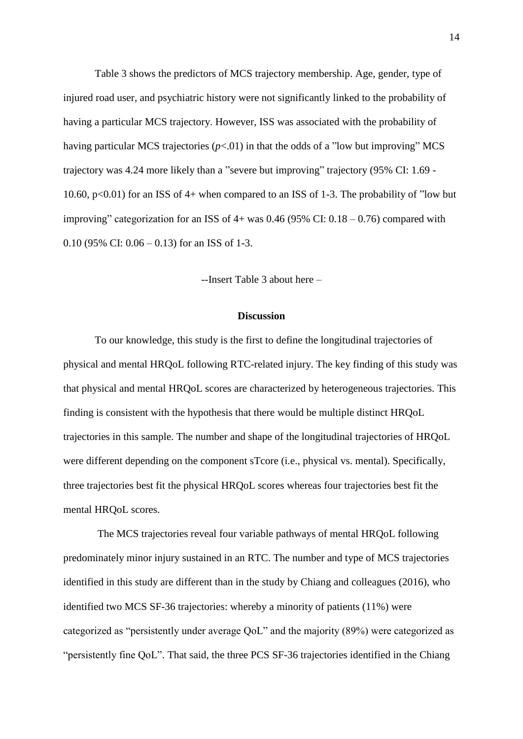Table 3 shows the predictors of MCS trajectory membership. Age, gender, type of injured road user, and psychiatric history were not significantly linked to the probability of having a particular MCS trajectory. However, ISS was associated with the probability of having particular MCS trajectories  $(p<0.01)$  in that the odds of a "low but improving" MCS trajectory was 4.24 more likely than a "severe but improving" trajectory (95% CI: 1.69 - 10.60,  $p<0.01$ ) for an ISS of 4+ when compared to an ISS of 1-3. The probability of "low but improving" categorization for an ISS of  $4+$  was 0.46 (95% CI: 0.18 – 0.76) compared with 0.10 (95% CI:  $0.06 - 0.13$ ) for an ISS of 1-3.

--Insert Table 3 about here –

#### **Discussion**

To our knowledge, this study is the first to define the longitudinal trajectories of physical and mental HRQoL following RTC-related injury. The key finding of this study was that physical and mental HRQoL scores are characterized by heterogeneous trajectories. This finding is consistent with the hypothesis that there would be multiple distinct HRQoL trajectories in this sample. The number and shape of the longitudinal trajectories of HRQoL were different depending on the component sTcore (i.e., physical vs. mental). Specifically, three trajectories best fit the physical HRQoL scores whereas four trajectories best fit the mental HRQoL scores.

The MCS trajectories reveal four variable pathways of mental HRQoL following predominately minor injury sustained in an RTC. The number and type of MCS trajectories identified in this study are different than in the study by Chiang and colleagues (2016), who identified two MCS SF-36 trajectories: whereby a minority of patients (11%) were categorized as "persistently under average QoL" and the majority (89%) were categorized as "persistently fine QoL". That said, the three PCS SF-36 trajectories identified in the Chiang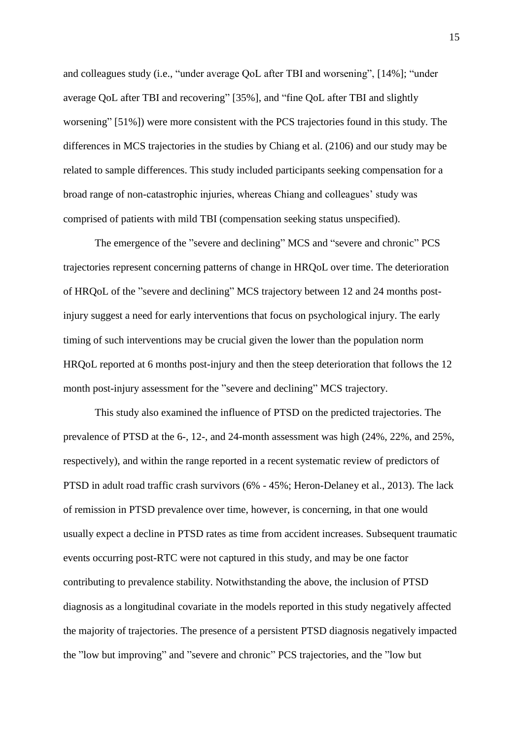and colleagues study (i.e., "under average QoL after TBI and worsening", [14%]; "under average QoL after TBI and recovering" [35%], and "fine QoL after TBI and slightly worsening" [51%]) were more consistent with the PCS trajectories found in this study. The differences in MCS trajectories in the studies by Chiang et al. (2106) and our study may be related to sample differences. This study included participants seeking compensation for a broad range of non-catastrophic injuries, whereas Chiang and colleagues' study was comprised of patients with mild TBI (compensation seeking status unspecified).

The emergence of the "severe and declining" MCS and "severe and chronic" PCS trajectories represent concerning patterns of change in HRQoL over time. The deterioration of HRQoL of the "severe and declining" MCS trajectory between 12 and 24 months postinjury suggest a need for early interventions that focus on psychological injury. The early timing of such interventions may be crucial given the lower than the population norm HRQoL reported at 6 months post-injury and then the steep deterioration that follows the 12 month post-injury assessment for the "severe and declining" MCS trajectory.

This study also examined the influence of PTSD on the predicted trajectories. The prevalence of PTSD at the 6-, 12-, and 24-month assessment was high (24%, 22%, and 25%, respectively), and within the range reported in a recent systematic review of predictors of PTSD in adult road traffic crash survivors (6% - 45%; Heron-Delaney et al., 2013). The lack of remission in PTSD prevalence over time, however, is concerning, in that one would usually expect a decline in PTSD rates as time from accident increases. Subsequent traumatic events occurring post-RTC were not captured in this study, and may be one factor contributing to prevalence stability. Notwithstanding the above, the inclusion of PTSD diagnosis as a longitudinal covariate in the models reported in this study negatively affected the majority of trajectories. The presence of a persistent PTSD diagnosis negatively impacted the "low but improving" and "severe and chronic" PCS trajectories, and the "low but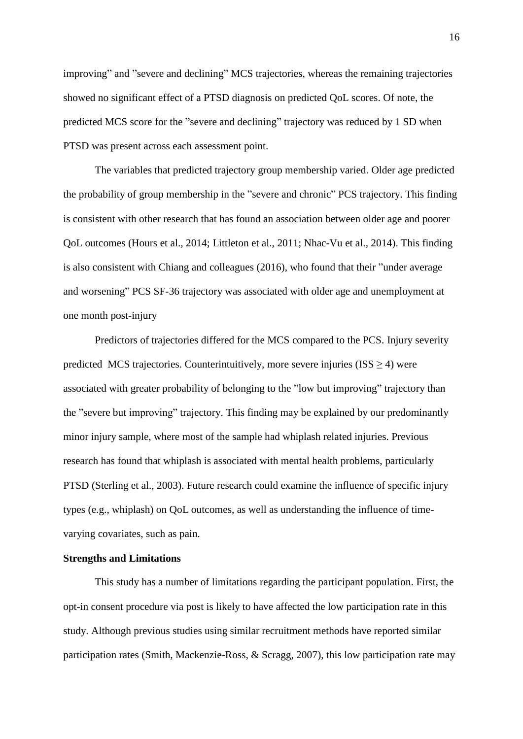improving" and "severe and declining" MCS trajectories, whereas the remaining trajectories showed no significant effect of a PTSD diagnosis on predicted QoL scores. Of note, the predicted MCS score for the "severe and declining" trajectory was reduced by 1 SD when PTSD was present across each assessment point.

The variables that predicted trajectory group membership varied. Older age predicted the probability of group membership in the "severe and chronic" PCS trajectory. This finding is consistent with other research that has found an association between older age and poorer QoL outcomes (Hours et al., 2014; Littleton et al., 2011; Nhac-Vu et al., 2014). This finding is also consistent with Chiang and colleagues (2016), who found that their "under average and worsening" PCS SF-36 trajectory was associated with older age and unemployment at one month post-injury

Predictors of trajectories differed for the MCS compared to the PCS. Injury severity predicted MCS trajectories. Counterintuitively, more severe injuries ( $ISS \geq 4$ ) were associated with greater probability of belonging to the "low but improving" trajectory than the "severe but improving" trajectory. This finding may be explained by our predominantly minor injury sample, where most of the sample had whiplash related injuries. Previous research has found that whiplash is associated with mental health problems, particularly PTSD (Sterling et al., 2003). Future research could examine the influence of specific injury types (e.g., whiplash) on QoL outcomes, as well as understanding the influence of timevarying covariates, such as pain.

# **Strengths and Limitations**

This study has a number of limitations regarding the participant population. First, the opt-in consent procedure via post is likely to have affected the low participation rate in this study. Although previous studies using similar recruitment methods have reported similar participation rates (Smith, Mackenzie-Ross, & Scragg, 2007), this low participation rate may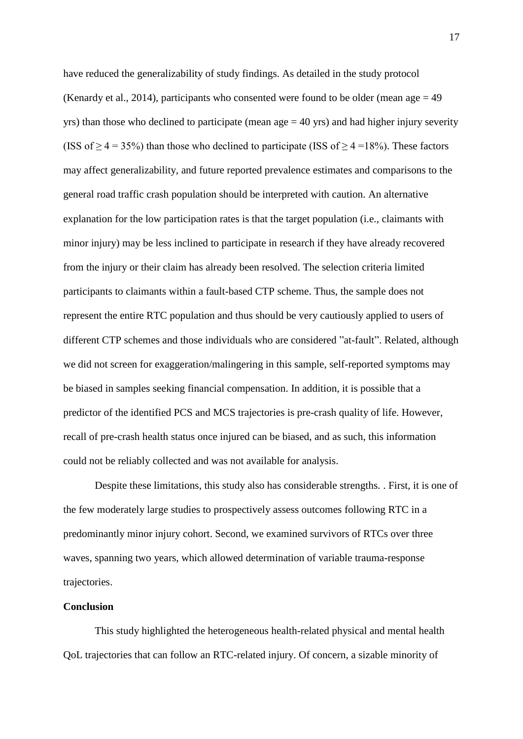have reduced the generalizability of study findings. As detailed in the study protocol (Kenardy et al., 2014), participants who consented were found to be older (mean age  $= 49$ ) yrs) than those who declined to participate (mean age  $=$  40 yrs) and had higher injury severity (ISS of  $\geq$  4 = 35%) than those who declined to participate (ISS of  $\geq$  4 = 18%). These factors may affect generalizability, and future reported prevalence estimates and comparisons to the general road traffic crash population should be interpreted with caution. An alternative explanation for the low participation rates is that the target population (i.e., claimants with minor injury) may be less inclined to participate in research if they have already recovered from the injury or their claim has already been resolved. The selection criteria limited participants to claimants within a fault-based CTP scheme. Thus, the sample does not represent the entire RTC population and thus should be very cautiously applied to users of different CTP schemes and those individuals who are considered "at-fault". Related, although we did not screen for exaggeration/malingering in this sample, self-reported symptoms may be biased in samples seeking financial compensation. In addition, it is possible that a predictor of the identified PCS and MCS trajectories is pre-crash quality of life. However, recall of pre-crash health status once injured can be biased, and as such, this information could not be reliably collected and was not available for analysis.

Despite these limitations, this study also has considerable strengths. . First, it is one of the few moderately large studies to prospectively assess outcomes following RTC in a predominantly minor injury cohort. Second, we examined survivors of RTCs over three waves, spanning two years, which allowed determination of variable trauma-response trajectories.

# **Conclusion**

This study highlighted the heterogeneous health-related physical and mental health QoL trajectories that can follow an RTC-related injury. Of concern, a sizable minority of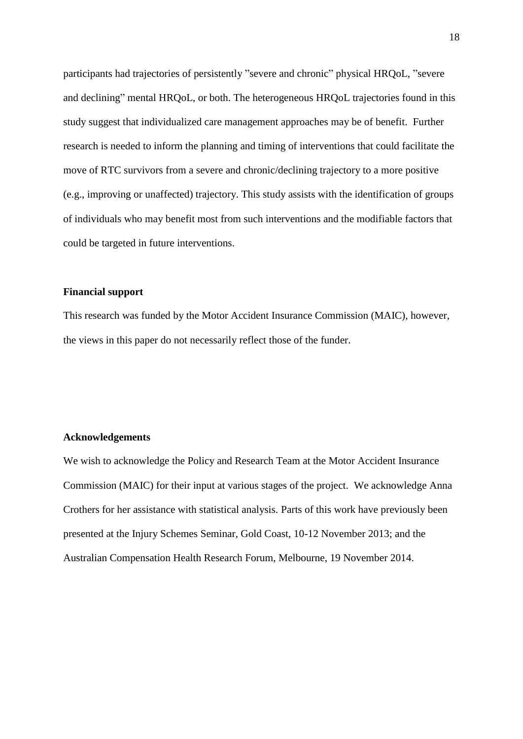participants had trajectories of persistently "severe and chronic" physical HRQoL, "severe and declining" mental HRQoL, or both. The heterogeneous HRQoL trajectories found in this study suggest that individualized care management approaches may be of benefit. Further research is needed to inform the planning and timing of interventions that could facilitate the move of RTC survivors from a severe and chronic/declining trajectory to a more positive (e.g., improving or unaffected) trajectory. This study assists with the identification of groups of individuals who may benefit most from such interventions and the modifiable factors that could be targeted in future interventions.

#### **Financial support**

This research was funded by the Motor Accident Insurance Commission (MAIC), however, the views in this paper do not necessarily reflect those of the funder.

## **Acknowledgements**

We wish to acknowledge the Policy and Research Team at the Motor Accident Insurance Commission (MAIC) for their input at various stages of the project. We acknowledge Anna Crothers for her assistance with statistical analysis. Parts of this work have previously been presented at the Injury Schemes Seminar, Gold Coast, 10-12 November 2013; and the Australian Compensation Health Research Forum, Melbourne, 19 November 2014.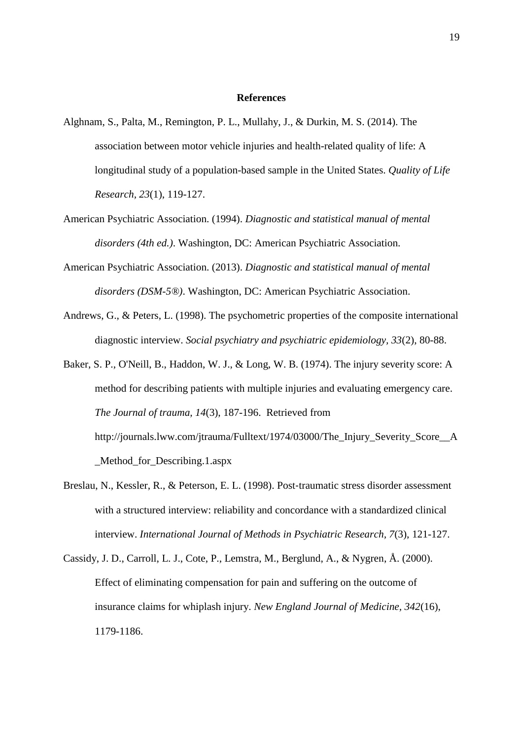#### **References**

- Alghnam, S., Palta, M., Remington, P. L., Mullahy, J., & Durkin, M. S. (2014). The association between motor vehicle injuries and health-related quality of life: A longitudinal study of a population-based sample in the United States. *Quality of Life Research, 23*(1), 119-127.
- American Psychiatric Association. (1994). *Diagnostic and statistical manual of mental disorders (4th ed.)*. Washington, DC: American Psychiatric Association.
- American Psychiatric Association. (2013). *Diagnostic and statistical manual of mental disorders (DSM-5®)*. Washington, DC: American Psychiatric Association.
- Andrews, G., & Peters, L. (1998). The psychometric properties of the composite international diagnostic interview. *Social psychiatry and psychiatric epidemiology, 33*(2), 80-88.
- Baker, S. P., O'Neill, B., Haddon, W. J., & Long, W. B. (1974). The injury severity score: A method for describing patients with multiple injuries and evaluating emergency care. *The Journal of trauma, 14*(3), 187-196. Retrieved from http://journals.lww.com/jtrauma/Fulltext/1974/03000/The\_Injury\_Severity\_Score\_\_A \_Method\_for\_Describing.1.aspx
- Breslau, N., Kessler, R., & Peterson, E. L. (1998). Post-traumatic stress disorder assessment with a structured interview: reliability and concordance with a standardized clinical interview. *International Journal of Methods in Psychiatric Research, 7*(3), 121-127.
- Cassidy, J. D., Carroll, L. J., Cote, P., Lemstra, M., Berglund, A., & Nygren, Å. (2000). Effect of eliminating compensation for pain and suffering on the outcome of insurance claims for whiplash injury. *New England Journal of Medicine, 342*(16), 1179-1186.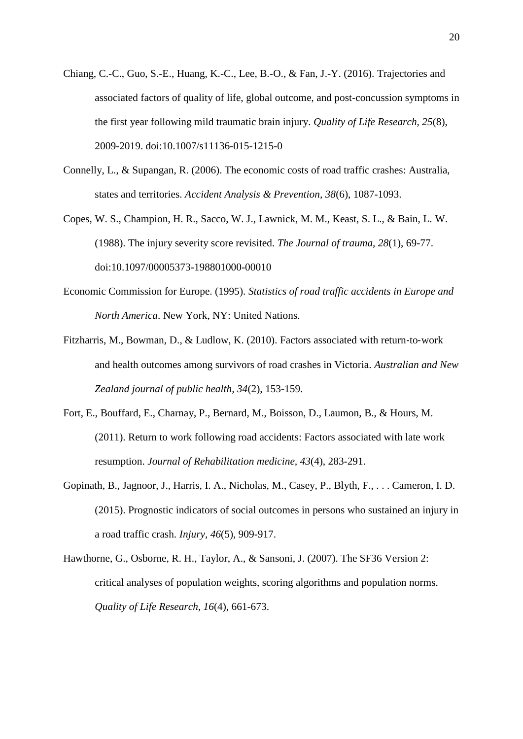- Chiang, C.-C., Guo, S.-E., Huang, K.-C., Lee, B.-O., & Fan, J.-Y. (2016). Trajectories and associated factors of quality of life, global outcome, and post-concussion symptoms in the first year following mild traumatic brain injury. *Quality of Life Research, 25*(8), 2009-2019. doi:10.1007/s11136-015-1215-0
- Connelly, L., & Supangan, R. (2006). The economic costs of road traffic crashes: Australia, states and territories. *Accident Analysis & Prevention, 38*(6), 1087-1093.
- Copes, W. S., Champion, H. R., Sacco, W. J., Lawnick, M. M., Keast, S. L., & Bain, L. W. (1988). The injury severity score revisited. *The Journal of trauma, 28*(1), 69-77. doi:10.1097/00005373-198801000-00010
- Economic Commission for Europe. (1995). *Statistics of road traffic accidents in Europe and North America*. New York, NY: United Nations.
- Fitzharris, M., Bowman, D., & Ludlow, K. (2010). Factors associated with return-to-work and health outcomes among survivors of road crashes in Victoria. *Australian and New Zealand journal of public health, 34*(2), 153-159.
- Fort, E., Bouffard, E., Charnay, P., Bernard, M., Boisson, D., Laumon, B., & Hours, M. (2011). Return to work following road accidents: Factors associated with late work resumption. *Journal of Rehabilitation medicine, 43*(4), 283-291.
- Gopinath, B., Jagnoor, J., Harris, I. A., Nicholas, M., Casey, P., Blyth, F., . . . Cameron, I. D. (2015). Prognostic indicators of social outcomes in persons who sustained an injury in a road traffic crash. *Injury, 46*(5), 909-917.
- Hawthorne, G., Osborne, R. H., Taylor, A., & Sansoni, J. (2007). The SF36 Version 2: critical analyses of population weights, scoring algorithms and population norms. *Quality of Life Research, 16*(4), 661-673.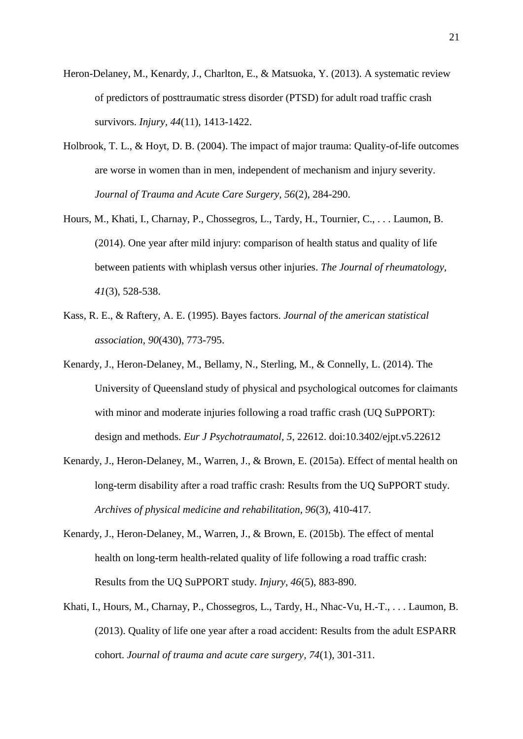- Heron-Delaney, M., Kenardy, J., Charlton, E., & Matsuoka, Y. (2013). A systematic review of predictors of posttraumatic stress disorder (PTSD) for adult road traffic crash survivors. *Injury, 44*(11), 1413-1422.
- Holbrook, T. L., & Hoyt, D. B. (2004). The impact of major trauma: Quality-of-life outcomes are worse in women than in men, independent of mechanism and injury severity. *Journal of Trauma and Acute Care Surgery, 56*(2), 284-290.
- Hours, M., Khati, I., Charnay, P., Chossegros, L., Tardy, H., Tournier, C., . . . Laumon, B. (2014). One year after mild injury: comparison of health status and quality of life between patients with whiplash versus other injuries. *The Journal of rheumatology, 41*(3), 528-538.
- Kass, R. E., & Raftery, A. E. (1995). Bayes factors. *Journal of the american statistical association, 90*(430), 773-795.
- Kenardy, J., Heron-Delaney, M., Bellamy, N., Sterling, M., & Connelly, L. (2014). The University of Queensland study of physical and psychological outcomes for claimants with minor and moderate injuries following a road traffic crash (UQ SuPPORT): design and methods. *Eur J Psychotraumatol, 5*, 22612. doi:10.3402/ejpt.v5.22612
- Kenardy, J., Heron-Delaney, M., Warren, J., & Brown, E. (2015a). Effect of mental health on long-term disability after a road traffic crash: Results from the UQ SuPPORT study. *Archives of physical medicine and rehabilitation, 96*(3), 410-417.
- Kenardy, J., Heron-Delaney, M., Warren, J., & Brown, E. (2015b). The effect of mental health on long-term health-related quality of life following a road traffic crash: Results from the UQ SuPPORT study. *Injury, 46*(5), 883-890.
- Khati, I., Hours, M., Charnay, P., Chossegros, L., Tardy, H., Nhac-Vu, H.-T., . . . Laumon, B. (2013). Quality of life one year after a road accident: Results from the adult ESPARR cohort. *Journal of trauma and acute care surgery, 74*(1), 301-311.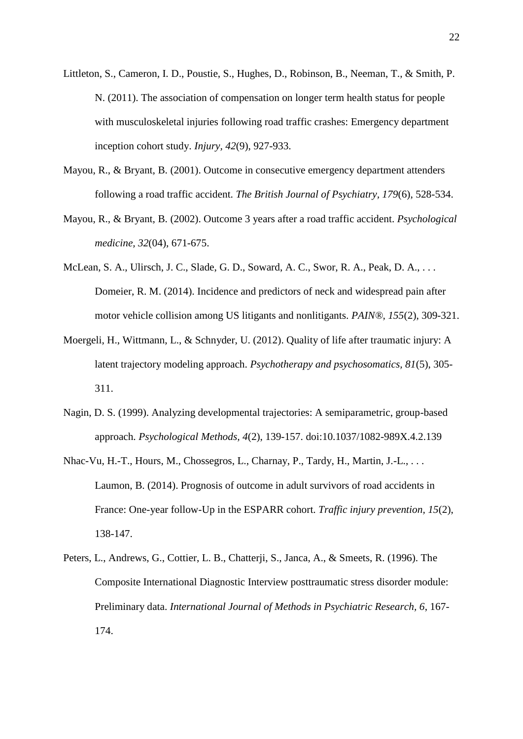- Littleton, S., Cameron, I. D., Poustie, S., Hughes, D., Robinson, B., Neeman, T., & Smith, P. N. (2011). The association of compensation on longer term health status for people with musculoskeletal injuries following road traffic crashes: Emergency department inception cohort study. *Injury, 42*(9), 927-933.
- Mayou, R., & Bryant, B. (2001). Outcome in consecutive emergency department attenders following a road traffic accident. *The British Journal of Psychiatry, 179*(6), 528-534.
- Mayou, R., & Bryant, B. (2002). Outcome 3 years after a road traffic accident. *Psychological medicine, 32*(04), 671-675.
- McLean, S. A., Ulirsch, J. C., Slade, G. D., Soward, A. C., Swor, R. A., Peak, D. A., . . . Domeier, R. M. (2014). Incidence and predictors of neck and widespread pain after motor vehicle collision among US litigants and nonlitigants. *PAIN®, 155*(2), 309-321.
- Moergeli, H., Wittmann, L., & Schnyder, U. (2012). Quality of life after traumatic injury: A latent trajectory modeling approach. *Psychotherapy and psychosomatics, 81*(5), 305- 311.
- Nagin, D. S. (1999). Analyzing developmental trajectories: A semiparametric, group-based approach. *Psychological Methods, 4*(2), 139-157. doi:10.1037/1082-989X.4.2.139
- Nhac-Vu, H.-T., Hours, M., Chossegros, L., Charnay, P., Tardy, H., Martin, J.-L., . . . Laumon, B. (2014). Prognosis of outcome in adult survivors of road accidents in France: One-year follow-Up in the ESPARR cohort. *Traffic injury prevention, 15*(2), 138-147.
- Peters, L., Andrews, G., Cottier, L. B., Chatterji, S., Janca, A., & Smeets, R. (1996). The Composite International Diagnostic Interview posttraumatic stress disorder module: Preliminary data. *International Journal of Methods in Psychiatric Research, 6*, 167- 174.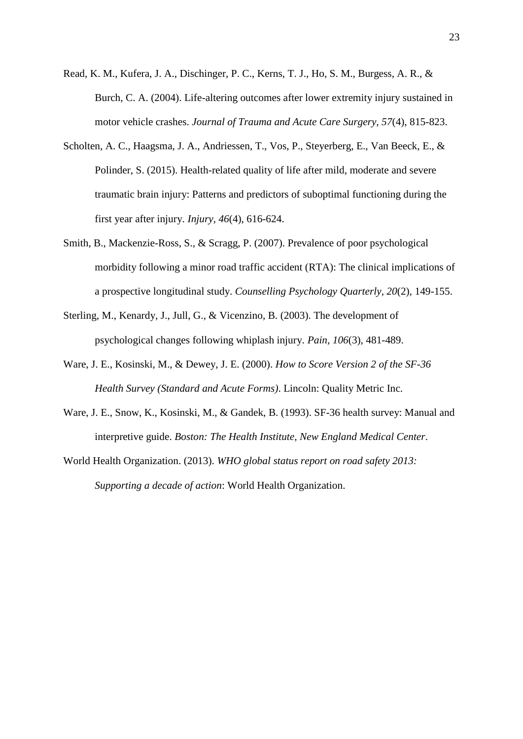- Read, K. M., Kufera, J. A., Dischinger, P. C., Kerns, T. J., Ho, S. M., Burgess, A. R., & Burch, C. A. (2004). Life-altering outcomes after lower extremity injury sustained in motor vehicle crashes. *Journal of Trauma and Acute Care Surgery, 57*(4), 815-823.
- Scholten, A. C., Haagsma, J. A., Andriessen, T., Vos, P., Steyerberg, E., Van Beeck, E., & Polinder, S. (2015). Health-related quality of life after mild, moderate and severe traumatic brain injury: Patterns and predictors of suboptimal functioning during the first year after injury. *Injury, 46*(4), 616-624.
- Smith, B., Mackenzie-Ross, S., & Scragg, P. (2007). Prevalence of poor psychological morbidity following a minor road traffic accident (RTA): The clinical implications of a prospective longitudinal study. *Counselling Psychology Quarterly, 20*(2), 149-155.
- Sterling, M., Kenardy, J., Jull, G., & Vicenzino, B. (2003). The development of psychological changes following whiplash injury. *Pain, 106*(3), 481-489.
- Ware, J. E., Kosinski, M., & Dewey, J. E. (2000). *How to Score Version 2 of the SF-36 Health Survey (Standard and Acute Forms)*. Lincoln: Quality Metric Inc.
- Ware, J. E., Snow, K., Kosinski, M., & Gandek, B. (1993). SF-36 health survey: Manual and interpretive guide. *Boston: The Health Institute, New England Medical Center*.
- World Health Organization. (2013). *WHO global status report on road safety 2013: Supporting a decade of action*: World Health Organization.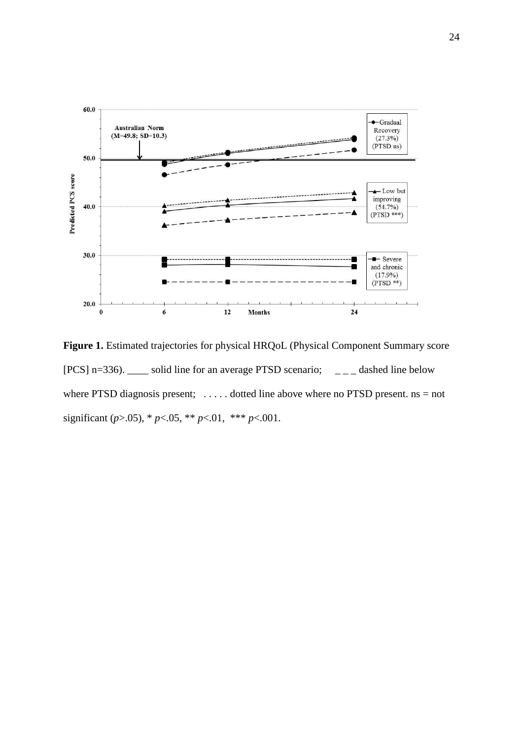

Figure 1. Estimated trajectories for physical HRQoL (Physical Component Summary score [PCS] n=336).  $\_\_$  solid line for an average PTSD scenario;  $\_\_$   $\_\_$  dashed line below where PTSD diagnosis present;  $\dots$  dotted line above where no PTSD present. ns = not significant (*p*>.05), \* *p*<.05, \*\* *p*<.01, \*\*\* *p*<.001.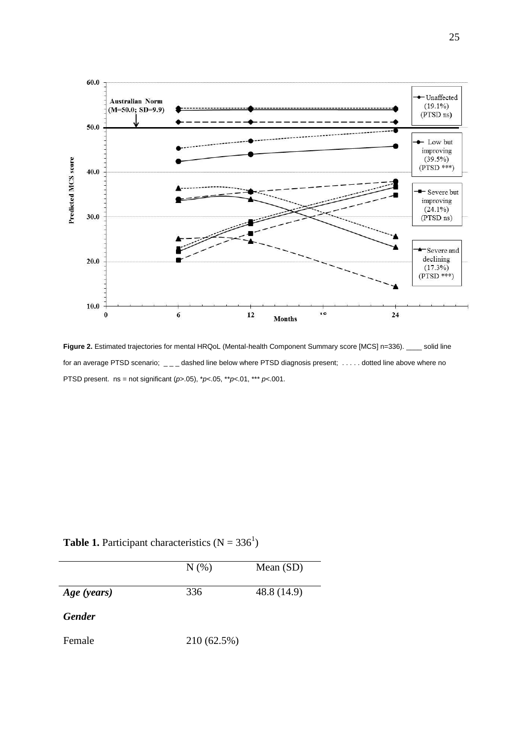

Figure 2. Estimated trajectories for mental HRQoL (Mental-health Component Summary score [MCS] n=336). \_\_\_\_ solid line for an average PTSD scenario;  $\angle$   $\angle$  dashed line below where PTSD diagnosis present; ..... dotted line above where no PTSD present. ns = not significant (*p*>.05), \**p*<.05, \*\**p*<.01, \*\*\* *p*<.001.

|             | N(% | Mean $(SD)$ |
|-------------|-----|-------------|
| Age (years) | 336 | 48.8 (14.9) |

**Table 1.** Participant characteristics  $(N = 336^1)$ 

Female 210 (62.5%)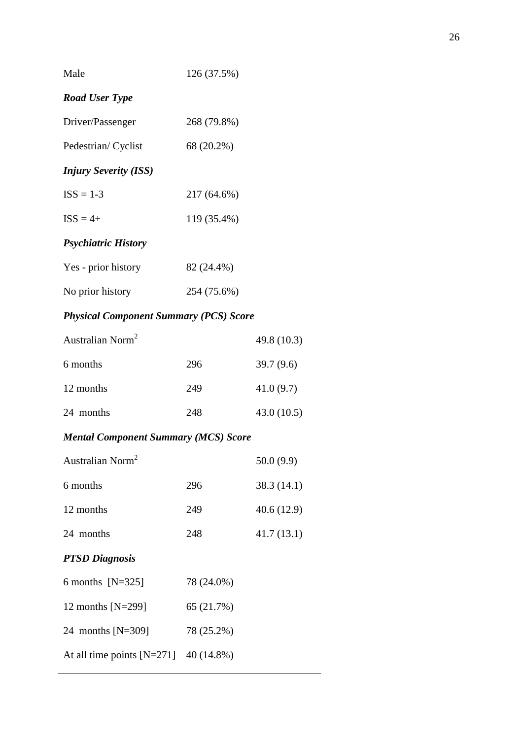| Male                         | 126 (37.5%) |  |
|------------------------------|-------------|--|
| <b>Road User Type</b>        |             |  |
| Driver/Passenger             | 268 (79.8%) |  |
| Pedestrian/Cyclist           | 68 (20.2%)  |  |
| <b>Injury Severity (ISS)</b> |             |  |
| $ISS = 1-3$                  | 217 (64.6%) |  |
| $ISS = 4+$                   | 119 (35.4%) |  |
| <b>Psychiatric History</b>   |             |  |
| Yes - prior history          | 82 (24.4%)  |  |
| No prior history             | 254 (75.6%) |  |

26

# *Physical Component Summary (PCS) Score*

| Australian Norm <sup>2</sup> |     | 49.8 (10.3) |
|------------------------------|-----|-------------|
| 6 months                     | 296 | 39.7(9.6)   |
| 12 months                    | 249 | 41.0(9.7)   |
| 24 months                    | 248 | 43.0(10.5)  |

# *Mental Component Summary (MCS) Score*

At all time points [N=271] 40 (14.8%)

| Australian Norm <sup>2</sup> |            | 50.0(9.9)   |
|------------------------------|------------|-------------|
| 6 months                     | 296        | 38.3 (14.1) |
| 12 months                    | 249        | 40.6 (12.9) |
| 24 months                    | 248        | 41.7(13.1)  |
| <b>PTSD Diagnosis</b>        |            |             |
| 6 months $[N=325]$           | 78 (24.0%) |             |
| 12 months $[N=299]$          | 65 (21.7%) |             |
| 24 months $[N=309]$          | 78 (25.2%) |             |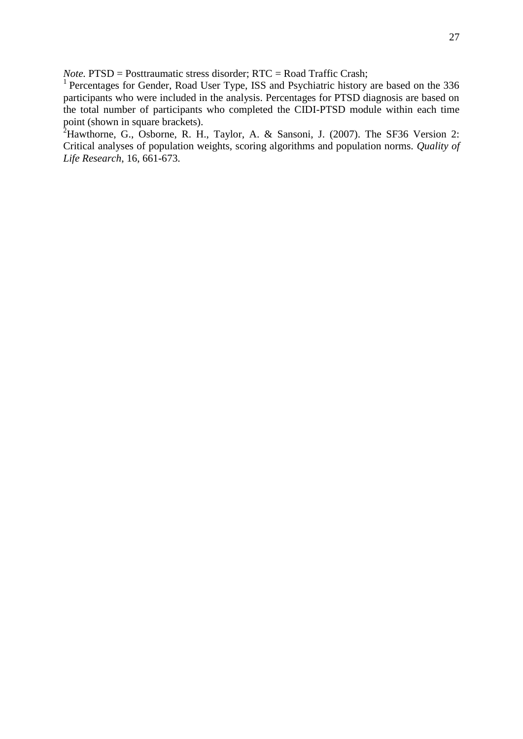*Note.* PTSD = Posttraumatic stress disorder; RTC = Road Traffic Crash;

<sup>1</sup> Percentages for Gender, Road User Type, ISS and Psychiatric history are based on the 336 participants who were included in the analysis. Percentages for PTSD diagnosis are based on the total number of participants who completed the CIDI-PTSD module within each time point (shown in square brackets).

 $2^2$ Hawthorne, G., Osborne, R. H., Taylor, A. & Sansoni, J. (2007). The SF36 Version 2: Critical analyses of population weights, scoring algorithms and population norms. *Quality of Life Research*, 16, 661-673.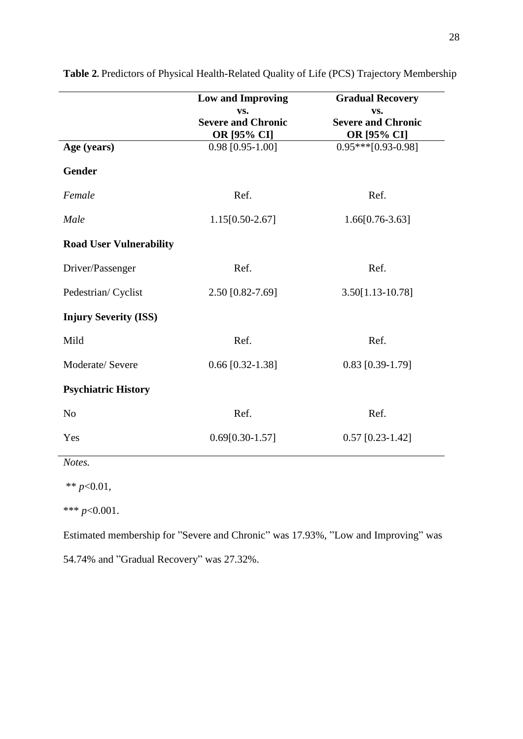|                                | <b>Low and Improving</b><br>VS.          | <b>Gradual Recovery</b><br>VS.           |
|--------------------------------|------------------------------------------|------------------------------------------|
|                                | <b>Severe and Chronic</b><br>OR [95% CI] | <b>Severe and Chronic</b><br>OR [95% CI] |
| Age (years)                    | $0.98$ [0.95-1.00]                       | $0.95***$ [0.93-0.98]                    |
| <b>Gender</b>                  |                                          |                                          |
| Female                         | Ref.                                     | Ref.                                     |
| Male                           | 1.15[0.50-2.67]                          | $1.66[0.76-3.63]$                        |
| <b>Road User Vulnerability</b> |                                          |                                          |
| Driver/Passenger               | Ref.                                     | Ref.                                     |
| Pedestrian/Cyclist             | 2.50 [0.82-7.69]                         | $3.50[1.13-10.78]$                       |
| <b>Injury Severity (ISS)</b>   |                                          |                                          |
| Mild                           | Ref.                                     | Ref.                                     |
| Moderate/ Severe               | $0.66$ [0.32-1.38]                       | $0.83$ [0.39-1.79]                       |
| <b>Psychiatric History</b>     |                                          |                                          |
| N <sub>o</sub>                 | Ref.                                     | Ref.                                     |
| Yes                            | $0.69[0.30-1.57]$                        | $0.57$ [0.23-1.42]                       |

Table 2. Predictors of Physical Health-Related Quality of Life (PCS) Trajectory Membership

*Notes.* 

l.

\*\* *p*<0.01,

\*\*\* *p*<0.001.

Estimated membership for "Severe and Chronic" was 17.93%, "Low and Improving" was 54.74% and "Gradual Recovery" was 27.32%.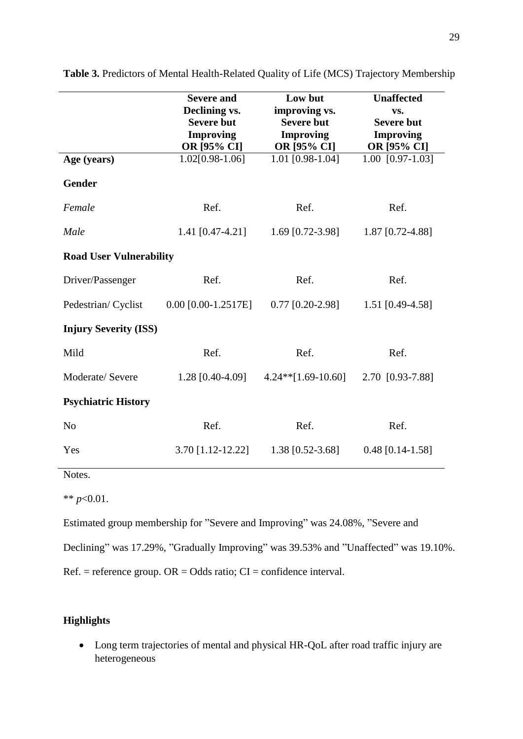|                                | <b>Severe and</b><br>Declining vs.<br><b>Severe but</b><br><b>Improving</b><br>OR [95% CI] | Low but<br>improving vs.<br><b>Severe but</b><br><b>Improving</b><br>OR [95% CI] | <b>Unaffected</b><br>VS.<br><b>Severe but</b><br><b>Improving</b><br>OR [95% CI] |  |
|--------------------------------|--------------------------------------------------------------------------------------------|----------------------------------------------------------------------------------|----------------------------------------------------------------------------------|--|
| Age (years)                    | 1.02[0.98-1.06]                                                                            | 1.01 [0.98-1.04]                                                                 | $1.00$ [0.97-1.03]                                                               |  |
| <b>Gender</b>                  |                                                                                            |                                                                                  |                                                                                  |  |
| Female                         | Ref.                                                                                       | Ref.                                                                             | Ref.                                                                             |  |
| Male                           | 1.41 [0.47-4.21]                                                                           | 1.69 $[0.72 - 3.98]$                                                             | 1.87 [0.72-4.88]                                                                 |  |
| <b>Road User Vulnerability</b> |                                                                                            |                                                                                  |                                                                                  |  |
| Driver/Passenger               | Ref.                                                                                       | Ref.                                                                             | Ref.                                                                             |  |
| Pedestrian/Cyclist             | $0.00$ [0.00-1.2517E]                                                                      | $0.77$ [0.20-2.98]                                                               | 1.51 [0.49-4.58]                                                                 |  |
| <b>Injury Severity (ISS)</b>   |                                                                                            |                                                                                  |                                                                                  |  |
| Mild                           | Ref.                                                                                       | Ref.                                                                             | Ref.                                                                             |  |
| Moderate/ Severe               | 1.28 [0.40-4.09]                                                                           | $4.24**$ [1.69-10.60]                                                            | 2.70 [0.93-7.88]                                                                 |  |
| <b>Psychiatric History</b>     |                                                                                            |                                                                                  |                                                                                  |  |
| N <sub>o</sub>                 | Ref.                                                                                       | Ref.                                                                             | Ref.                                                                             |  |
| Yes                            | 3.70 [1.12-12.22]                                                                          | 1.38 [0.52-3.68]                                                                 | $0.48$ [0.14-1.58]                                                               |  |

**Table 3.** Predictors of Mental Health-Related Quality of Life (MCS) Trajectory Membership

Notes.

\*\* *p*<0.01.

Estimated group membership for "Severe and Improving" was 24.08%, "Severe and

Declining" was 17.29%, "Gradually Improving" was 39.53% and "Unaffected" was 19.10%.

 $Ref. = reference group. OR = Odds ratio; CI = confidence interval.$ 

# **Highlights**

 Long term trajectories of mental and physical HR-QoL after road traffic injury are heterogeneous